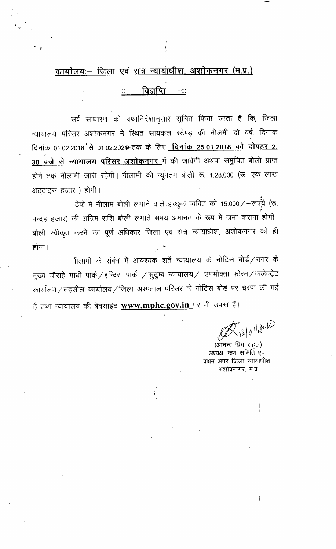## कार्यालयः- जिला एवं सत्र न्यायाधीश, अशोकनगर (म.प्र.)

<u> ::- विज्ञप्ति --::</u>

सर्व साधारण को यथानिर्देशानुसार सूचित किया जाता है कि, जिला न्यायालय परिसर अशोकनगर में स्थित सायकल स्टेण्ड़ की नीलमी दो वर्ष, दिनांक दिनांक 01.02.2018 से 01.02.2020 तक के लिए<u>, दिनांक 25.01.2018 को दोपहर 2.</u> 30 बजे से न्यायालय परिसर अशोकनगर में की जावेगी अथवा समुचित बोली प्राप्त होने तक नीलामी जारी रहेगी। नीलामी की न्यूनतम बोली रू. 1,28,000 (रू. एक लाख अठ्ठाइस हजार) होगी।

ठेके में नीलाम बोली लगाने वाले इच्छुक व्यक्ति को 15,000/-रूपये (रू. पन्द्रह हजार) की अग्रिम राशि बोली लगाते समय अमानत के रूप में जमा कराना होगी। बोली स्वीकृत करने का पूर्ण अधिकार जिला एवं सत्र न्यायाधीश, अशोकनगर को ही होगा।

नीलामी के संबंध में आवश्यक शर्ते न्यायालय के नोटिस बोर्ड/नगर के मुख्य चौराहे गांधी पार्क / इन्दिरा पार्क / कुटुम्ब न्यायालय / उपभोक्ता फोरम / कलेक्ट्रेट कार्यालय / तहसील कार्यालय / जिला अस्पताल परिसर के नोटिस बोर्ड पर चस्पा की गई है तथा न्यायालय की बेवसाईट **www.mphc.gov.in**\_पर भी उपब्ध हैं।

 $\mathcal{B}_{18|0}$ 1/2012

(आनन्द प्रिय राहल) अध्यक्ष, कय समिति एवं प्रथम अपर जिला न्यायांधीश अशोकनगर, म.प्र.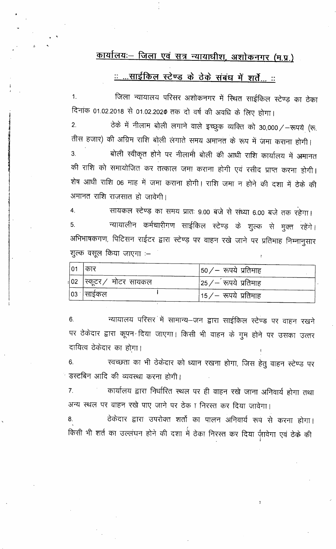## कार्यालयः – जिला एवं सत्र न्यायाधीश, अशोकनगर (म.प्र.)

<u>:: ...साईकिल स्टेण्ड के ठेके संबंध में शर्तें... ::</u>

जिला न्यायालय परिसर अशोकनगर में स्थित साईकिल स्टेण्ड़ का ठेका  $1<sub>1</sub>$ दिनांक 01.02.2018 से 01.02.2020 तक दो वर्ष की अवधि के लिए होगा। ठेके में नीलाम बोली लगाने वाले इच्छुक व्यक्ति को 30,000/-रूपये (रू.  $\overline{2}$ . तीस हजार) की अग्रिम राशि बोली लंगाते समय अमानत के रूप में जमा कराना होगी। बोली स्वीकृत होने पर नीलामी बोली की आधी राशि कार्यालय में अमानत 3. की राशि को समायोजित कर तत्काल जमा कराना होगी एवं रसीद प्राप्त करना होगी। शेष आधी राशि 06 माह में जमा कराना होगी। राशि जमा न होने की दशा में ठेके की अमानत राशि राजसात हो जावेगी।

सायकल स्टेण्ड का समय प्रातः 9.00 बजे से संध्या 6.00 बजे तक रहेगा। 4. न्यायालीन कर्मचारीगण साईकिल स्टेण्ड के शुल्क से मुक्त रहेंगे। 5. अभिभाषकगण, पिटिसन राईटर द्वारा स्टेण्ड़ पर वाहन रखे जाने पर प्रतिमाह निम्नानुसार शुल्क वसूल किया जाएगा :-

| 01           | । कार                   | $ 50/$ – रूपये प्रतिमाह      |
|--------------|-------------------------|------------------------------|
|              | √02 ∣स्कूटर∕ मोटर सायकल | $ 25$ / $-$ रूपये प्रतिमाह   |
| $ 03\rangle$ | साईकल                   | $ 15\angle$ — रूपये प्रतिमाह |

न्यायालय परिसर में सामान्य-जन द्वारा साईकिल स्टेण्ड पर वाहन रखने 6. पर ठेकेदार द्वारा कूपन दिया जाएगा। किसी भी वाहन के गुम होने पर उसका उत्तर दायित्व ठेकेदार का होगा।

स्वच्छता का भी ठेकेदार को ध्यान रखना होगा, जिस हेतु वाहन स्टेण्ड पर 6. डस्टबिन आदि की व्यवस्था करना होगी।

कार्यालय द्वारा निर्धारित स्थल पर ही वाहन रखे जाना अनिवार्य होगा तथा  $\overline{7}$ . अन्य स्थल पर वाहन रखे पाए जाने पर ठेका निरस्त कर दिया जावेगा।

ठेकेदार द्वारा उपरोक्त शर्तो का पालन अनिवार्य रूप से करना होगा। किसी भी शर्त का उल्लंघन होने की दशा में ठेका निरस्त कर दिया ज़ावेगा एवं ठेके की